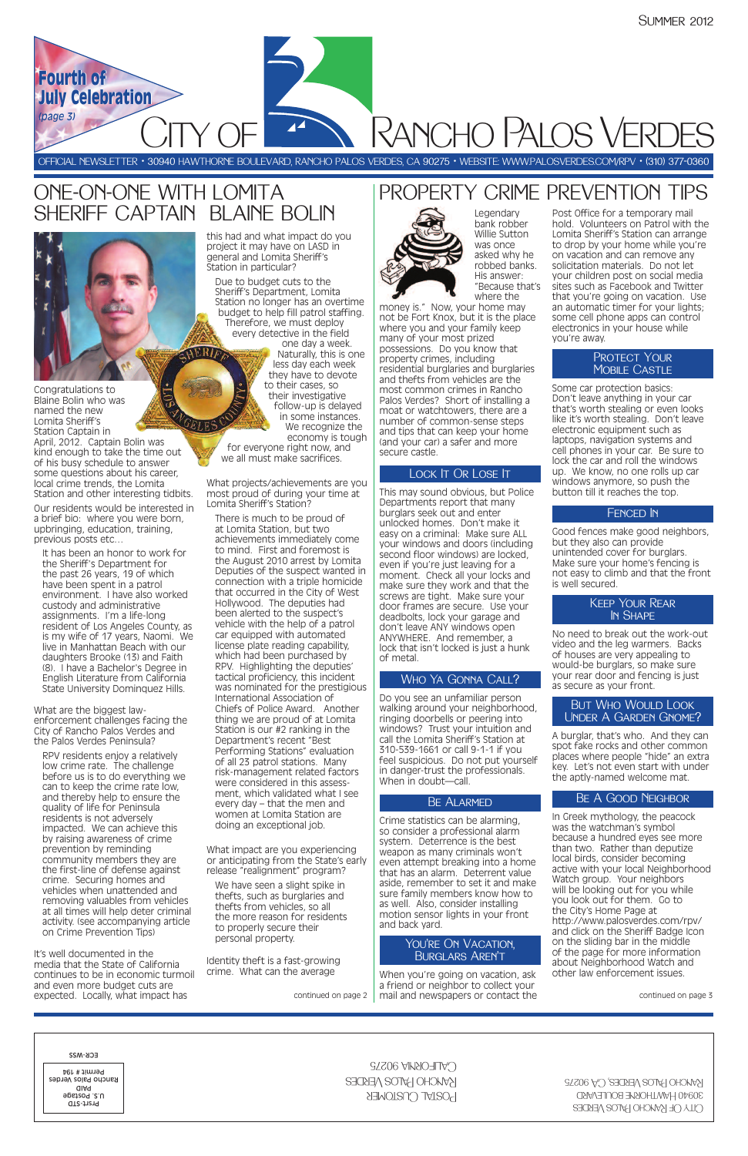# **PANCHO PALOS VERDES**

Legendary bank robber Willie Sutton was once asked why he robbed banks. His answer: "Because that's where the

money is." Now, your home may not be Fort Knox, but it is the place where you and your family keep many of your most prized possessions. Do you know that property crimes, including residential burglaries and burglaries and thefts from vehicles are the most common crimes in Rancho Palos Verdes? Short of installing a moat or watchtowers, there are a number of common-sense steps and tips that can keep your home (and your car) a safer and more secure castle.

#### LOCK IT OR LOSE IT

This may sound obvious, but Police Departments report that many burglars seek out and enter unlocked homes. Don't make it easy on a criminal: Make sure ALL your windows and doors (including second floor windows) are locked, even if you're just leaving for a moment. Check all your locks and make sure they work and that the screws are tight. Make sure your door frames are secure. Use your deadbolts, lock your garage and don't leave ANY windows open ANYWHERE. And remember, a lock that isn't locked is just a hunk of metal.

When you're going on vacation, ask a friend or neighbor to collect your mail and newspapers or contact the

Do you see an unfamiliar person walking around your neighborhood, ringing doorbells or peering into windows? Trust your intuition and call the Lomita Sheriff's Station at 310-539-1661 or call 9-1-1 if you feel suspicious. Do not put yourself in danger-trust the professionals. When in doubt—call.

#### **BE ALARMED**

Crime statistics can be alarming, so consider a professional alarm system. Deterrence is the best weapon as many criminals won't even attempt breaking into a home that has an alarm. Deterrent value aside, remember to set it and make sure family members know how to as well. Also, consider installing motion sensor lights in your front and back yard.

Post Office for a temporary mail hold. Volunteers on Patrol with the Lomita Sheriff's Station can arrange to drop by your home while you're on vacation and can remove any solicitation materials. Do not let your children post on social media sites such as Facebook and Twitter that you're going on vacation. Use an automatic timer for your lights; some cell phone apps can control electronics in your house while you're away.

#### PROTECT YOUR **MOBILE CASTLE**

Some car protection basics: Don't leave anything in your car that's worth stealing or even looks like it's worth stealing. Don't leave electronic equipment such as laptops, navigation systems and cell phones in your car. Be sure to lock the car and roll the windows up. We know, no one rolls up car windows anymore, so push the button till it reaches the top.

#### FENCED IN

Good fences make good neighbors, but they also can provide unintended cover for burglars. Make sure your home's fencing is not easy to climb and that the front is well secured.

No need to break out the work-out video and the leg warmers. Backs of houses are very appealing to would-be burglars, so make sure your rear door and fencing is just as secure as your front.

A burglar, that's who. And they can spot fake rocks and other common places where people "hide" an extra key. Let's not even start with under the aptly-named welcome mat.

In Greek mythology, the peacock was the watchman's symbol because a hundred eyes see more than two. Rather than deputize local birds, consider becoming active with your local Neighborhood Watch group. Your neighbors will be looking out for you while you look out for them. Go to the City's Home Page at http://www.palosverdes.com/rpv/ and click on the Sheriff Badge Icon on the sliding bar in the middle of the page for more information about Neighborhood Watch and other law enforcement issues.

OFFICIAL NEWSLETTER • 30940 HAWTHORNE BOULEVARD, RANCHO PALOS VERDES, CA 90275 • WEBSITE: WWW.PALOSVERDES.COM/RPV • (310) 377-0360

Congratulations to Blaine Bolin who was named the new Lomita Sheriff's Station Captain in

April, 2012. Captain Bolin was kind enough to take the time out of his busy schedule to answer some questions about his career, local crime trends, the Lomita Station and other interesting tidbits.

Our residents would be interested in a brief bio: where you were born, upbringing, education, training, previous posts etc…

It has been an honor to work for the Sheriff's Department for the past 26 years, 19 of which have been spent in a patrol environment. I have also worked custody and administrative assignments. I'm a life-long resident of Los Angeles County, as is my wife of 17 years, Naomi. We live in Manhattan Beach with our daughters Brooke (13) and Faith (8). I have a Bachelor's Degree in English Literature from California State University Dominquez Hills.

What are the biggest lawenforcement challenges facing the City of Rancho Palos Verdes and the Palos Verdes Peninsula?

RPV residents enjoy a relatively low crime rate. The challenge before us is to do everything we can to keep the crime rate low, and thereby help to ensure the quality of life for Peninsula residents is not adversely impacted. We can achieve this by raising awareness of crime prevention by reminding community members they are the first-line of defense against crime. Securing homes and vehicles when unattended and removing valuables from vehicles at all times will help deter criminal activity. (see accompanying article on Crime Prevention Tips)

It's well documented in the media that the State of California continues to be in economic turmoil and even more budget cuts are expected. Locally, what impact has

this had and what impact do you project it may have on LASD in general and Lomita Sheriff's Station in particular?

Due to budget cuts to the Sheriff's Department, Lomita Station no longer has an overtime budget to help fill patrol staffing. Therefore, we must deploy every detective in the field one day a week.

Naturally, this is one less day each week they have to devote to their cases, so their investigative follow-up is delayed in some instances. We recognize the economy is tough

for everyone right now, and we all must make sacrifices.

What projects/achievements are you most proud of during your time at Lomita Sheriff's Station?

There is much to be proud of at Lomita Station, but two achievements immediately come to mind. First and foremost is the August 2010 arrest by Lomita Deputies of the suspect wanted in connection with a triple homicide that occurred in the City of West Hollywood. The deputies had been alerted to the suspect's vehicle with the help of a patrol car equipped with automated license plate reading capability, which had been purchased by RPV. Highlighting the deputies' tactical proficiency, this incident was nominated for the prestigious International Association of Chiefs of Police Award. Another thing we are proud of at Lomita Station is our #2 ranking in the Department's recent "Best Performing Stations" evaluation of all 23 patrol stations. Many risk-management related factors were considered in this assessment, which validated what I see every day – that the men and women at Lomita Station are doing an exceptional job.

What impact are you experiencing or anticipating from the State's early release "realignment" program?

We have seen a slight spike in thefts, such as burglaries and thefts from vehicles, so all the more reason for residents to properly secure their personal property.

Identity theft is a fast-growing crime. What can the average

**Fourth of Fourth of**

**July Celebration July Celebration**

continued on page 3

| ECK-M22<br>Permit # 194<br>Rancho Palos Verdes<br>aiaq<br>u.s. Postage<br>Prsrt-STD | $C$ ALFORNIA 90275<br>KANCHO HALOS VERDES<br><b>POSTAL CUSTOMER</b> | RANCHO PALOS VERDES, CA 90275<br>30940 HAWTHORNE BOULEVARD<br>CITY OF RANCHO PALOS VERDES |
|-------------------------------------------------------------------------------------|---------------------------------------------------------------------|-------------------------------------------------------------------------------------------|
|-------------------------------------------------------------------------------------|---------------------------------------------------------------------|-------------------------------------------------------------------------------------------|

*(page 3)*

и

continued on page 2

### ONE-ON-ONE WITH LOMITA SHERIFF CAPTAIN BLAINE BOLIN

**AERIPA** 

#### Who Ya Gonna Call?

#### You're On Vacation, Burglars Aren't

#### Be A Good Neighbor

#### But Who Would Look Under A Garden Gnome?

#### Keep Your Rear In Shape

## PROPERTY CRIME PREVENTION TIPS

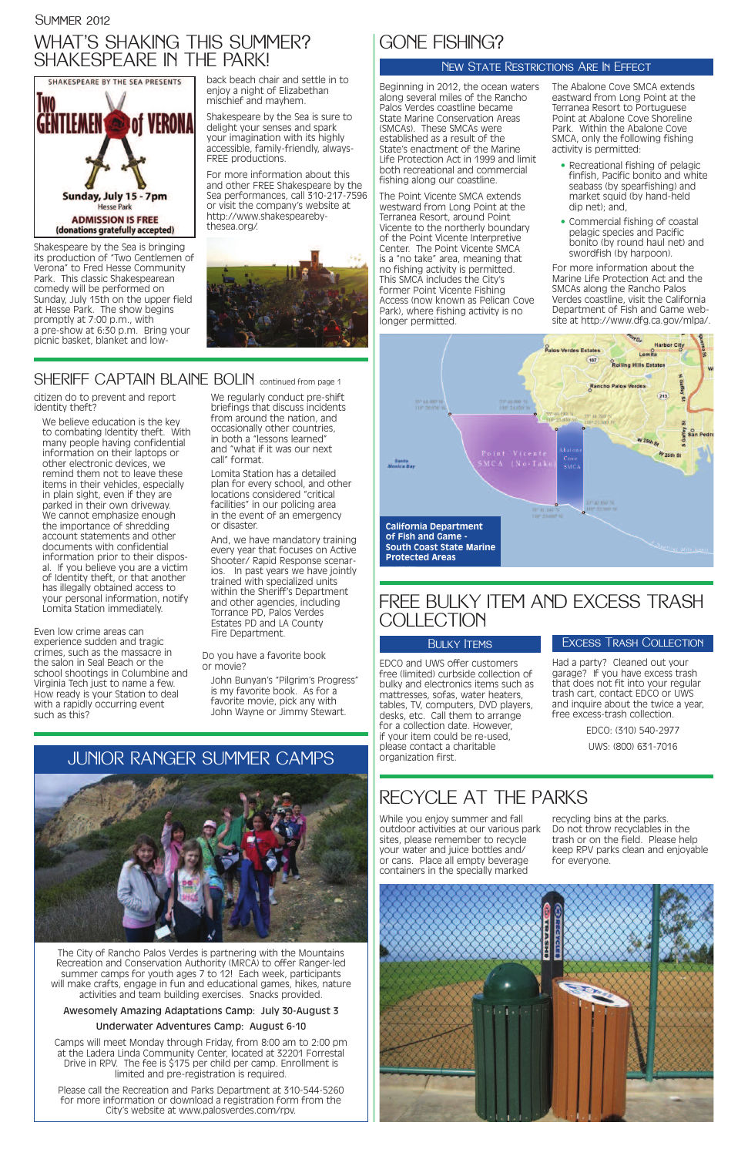Shakespeare by the Sea is bringing its production of "Two Gentlemen of Verona" to Fred Hesse Community Park. This classic Shakespearean comedy will be performed on Sunday, July 15th on the upper field at Hesse Park. The show begins promptly at 7:00 p.m., with a pre-show at 6:30 p.m. Bring your picnic basket, blanket and lowback beach chair and settle in to enjoy a night of Elizabethan mischief and mayhem.

Shakespeare by the Sea is sure to delight your senses and spark your imagination with its highly accessible, family-friendly, always-FREE productions.

For more information about this and other FREE Shakespeare by the Sea performances, call 310-217-7596 or visit the company's website at http://www.shakespearebythesea.org/.



### SHERIFF CAPTAIN BLAINE BOLIN continued from page 1

We believe education is the key to combating Identity theft. With many people having confidential information on their laptops or other electronic devices, we remind them not to leave these items in their vehicles, especially in plain sight, even if they are parked in their own driveway. We cannot emphasize enough the importance of shredding account statements and other documents with confidential information prior to their disposal. If you believe you are a victim of Identity theft, or that another has illegally obtained access to your personal information, notify Lomita Station immediately.

citizen do to prevent and report identity theft?

We regularly conduct pre-shift briefings that discuss incidents from around the nation, and occasionally other countries, in both a "lessons learned" and "what if it was our next call" format.

Even low crime areas can experience sudden and tragic crimes, such as the massacre in the salon in Seal Beach or the school shootings in Columbine and Virginia Tech just to name a few. How ready is your Station to deal with a rapidly occurring event such as this?

Lomita Station has a detailed plan for every school, and other locations considered "critical facilities" in our policing area in the event of an emergency or disaster.

And, we have mandatory training every year that focuses on Active Shooter/ Rapid Response scenarios. In past years we have jointly trained with specialized units within the Sheriff's Department and other agencies, including Torrance PD, Palos Verdes Estates PD and LA County Fire Department.

Do you have a favorite book or movie?

### FREE BULKY ITEM AND EXCESS TRASH **COLLECTION**

#### **BULKY ITEMS**

John Bunyan's "Pilgrim's Progress" is my favorite book. As for a favorite movie, pick any with John Wayne or Jimmy Stewart.

### WHAT'S SHAKING THIS SUMMER? SHAKESPEARE IN THE PARK!



# JUNIOR RANGER SUMMER CAMPS

Beginning in 2012, the ocean waters along several miles of the Rancho Palos Verdes coastline became State Marine Conservation Areas (SMCAs). These SMCAs were established as a result of the State's enactment of the Marine Life Protection Act in 1999 and limit both recreational and commercial fishing along our coastline.

The Point Vicente SMCA extends westward from Long Point at the Terranea Resort, around Point Vicente to the northerly boundary of the Point Vicente Interpretive Center. The Point Vicente SMCA is a "no take" area, meaning that no fishing activity is permitted. This SMCA includes the City's former Point Vicente Fishing Access (now known as Pelican Cove Park), where fishing activity is no longer permitted.

The Abalone Cove SMCA extends eastward from Long Point at the Terranea Resort to Portuguese Point at Abalone Cove Shoreline Park. Within the Abalone Cove SMCA, only the following fishing activity is permitted:

- Recreational fishing of pelagic finfish, Pacific bonito and white seabass (by spearfishing) and market squid (by hand-held dip net); and,
- Commercial fishing of coastal pelagic species and Pacific bonito (by round haul net) and swordfish (by harpoon).

For more information about the Marine Life Protection Act and the SMCAs along the Rancho Palos Verdes coastline, visit the California Department of Fish and Game website at http://www.dfg.ca.gov/mlpa/.

### GONE FISHING?

### NEW STATE RESTRICTIONS ARE IN EFFECT

While you enjoy summer and fall outdoor activities at our various park sites, please remember to recycle your water and juice bottles and/ or cans. Place all empty beverage containers in the specially marked

recycling bins at the parks. Do not throw recyclables in the trash or on the field. Please help keep RPV parks clean and enjoyable for everyone.



## RECYCLE AT THE PARKS

EDCO and UWS offer customers free (limited) curbside collection of bulky and electronics items such as mattresses, sofas, water heaters, tables, TV, computers, DVD players, desks, etc. Call them to arrange for a collection date. However, if your item could be re-used, please contact a charitable organization first.

Had a party? Cleaned out your garage? If you have excess trash that does not fit into your regular trash cart, contact EDCO or UWS and inquire about the twice a year, free excess-trash collection.

> EDCO: (310) 540-2977 UWS: (800) 631-7016

### Excess Trash Collection

The City of Rancho Palos Verdes is partnering with the Mountains Recreation and Conservation Authority (MRCA) to offer Ranger-led summer camps for youth ages 7 to 12! Each week, participants will make crafts, engage in fun and educational games, hikes, nature activities and team building exercises. Snacks provided.

#### Awesomely Amazing Adaptations Camp: July 30-August 3

#### Underwater Adventures Camp: August 6-10

Camps will meet Monday through Friday, from 8:00 am to 2:00 pm at the Ladera Linda Community Center, located at 32201 Forrestal Drive in RPV. The fee is \$175 per child per camp. Enrollment is limited and pre-registration is required.

Please call the Recreation and Parks Department at 310-544-5260 for more information or download a registration form from the City's website at www.palosverdes.com/rpv.



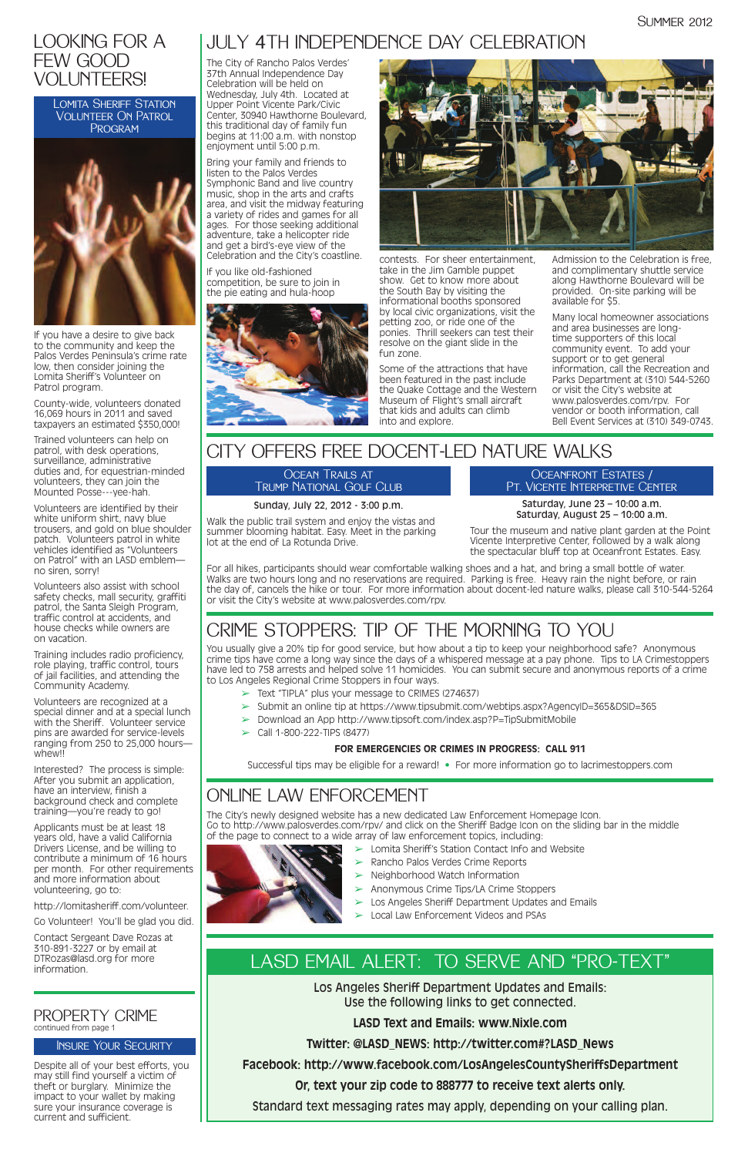Los Angeles Sheriff Department Updates and Emails: Use the following links to get connected.

**LASD Text and Emails: www.Nixle.com**

**Twitter: @LASD\_NEWS: http://twitter.com#?LASD\_News**

**Facebook: http://www.facebook.com/LosAngelesCountySheriffsDepartment**

**Or, text your zip code to 888777 to receive text alerts only.**

Standard text messaging rates may apply, depending on your calling plan.

### LASD EMAIL ALERT: TO SERVE AND "PRO-TEXT"

### LOOKING FOR A FEW GOOD VOLUNTEERS!

LOMITA SHERIFF STATION Volunteer On Patrol **PROGRAM** 



If you have a desire to give back to the community and keep the Palos Verdes Peninsula's crime rate low, then consider joining the Lomita Sheriff's Volunteer on Patrol program.

County-wide, volunteers donated 16,069 hours in 2011 and saved taxpayers an estimated \$350,000!

Volunteers are recognized at a special dinner and at a special lunch with the Sheriff. Volunteer service pins are awarded for service-levels ranging from 250 to 25,000 hours whew!!

Trained volunteers can help on patrol, with desk operations, surveillance, administrative duties and, for equestrian-minded volunteers, they can join the Mounted Posse---yee-hah.

Volunteers are identified by their white uniform shirt, navy blue trousers, and gold on blue shoulder patch. Volunteers patrol in white vehicles identified as "Volunteers on Patrol" with an LASD emblem no siren, sorry!

Volunteers also assist with school safety checks, mall security, graffiti patrol, the Santa Sleigh Program, traffic control at accidents, and house checks while owners are on vacation.

Training includes radio proficiency, role playing, traffic control, tours of jail facilities, and attending the Community Academy.

Interested? The process is simple: After you submit an application, have an interview, finish a background check and complete training—you're ready to go!

Applicants must be at least 18 years old, have a valid California Drivers License, and be willing to contribute a minimum of 16 hours per month. For other requirements and more information about volunteering, go to:

http://lomitasheriff.com/volunteer.

Go Volunteer! You'll be glad you did.

Contact Sergeant Dave Rozas at 310-891-3227 or by email at DTRozas@lasd.org for more information.

#### PROPERTY CRIME continued from page 1

#### OCEAN TRAILS AT Trump National Golf Club

Despite all of your best efforts, you may still find yourself a victim of theft or burglary. Minimize the impact to your wallet by making sure your insurance coverage is current and sufficient.



### Insure Your Security

The City of Rancho Palos Verdes' 37th Annual Independence Day Celebration will be held on Wednesday, July 4th. Located at Upper Point Vicente Park/Civic Center, 30940 Hawthorne Boulevard, this traditional day of family fun begins at 11:00 a.m. with nonstop enjoyment until 5:00 p.m.

Bring your family and friends to listen to the Palos Verdes Symphonic Band and live country music, shop in the arts and crafts area, and visit the midway featuring a variety of rides and games for all ages. For those seeking additional adventure, take a helicopter ride and get a bird's-eye view of the Celebration and the City's coastline.

If you like old-fashioned competition, be sure to join in the pie eating and hula-hoop



contests. For sheer entertainment, take in the Jim Gamble puppet show. Get to know more about the South Bay by visiting the informational booths sponsored by local civic organizations, visit the petting zoo, or ride one of the ponies. Thrill seekers can test their resolve on the giant slide in the fun zone.

Some of the attractions that have been featured in the past include the Quake Cottage and the Western Museum of Flight's small aircraft that kids and adults can climb into and explore.

Admission to the Celebration is free, and complimentary shuttle service along Hawthorne Boulevard will be provided. On-site parking will be available for \$5.

Many local homeowner associations and area businesses are longtime supporters of this local community event. To add your support or to get general information, call the Recreation and Parks Department at (310) 544-5260 or visit the City's website at www.palosverdes.com/rpv. For vendor or booth information, call Bell Event Services at (310) 349-0743.

### JULY 4TH INDEPENDENCE DAY CELEBRATION

## CITY OFFERS FREE DOCENT-LED NATURE WALKS

#### Sunday, July 22, 2012 - 3:00 p.m.

Walk the public trail system and enjoy the vistas and summer blooming habitat. Easy. Meet in the parking lot at the end of La Rotunda Drive.

Oceanfront Estates / Pt. Vicente Interpretive Center

Saturday, June 23 – 10:00 a.m. Saturday, August 25 – 10:00 a.m.

Tour the museum and native plant garden at the Point Vicente Interpretive Center, followed by a walk along the spectacular bluff top at Oceanfront Estates. Easy.

For all hikes, participants should wear comfortable walking shoes and a hat, and bring a small bottle of water. Walks are two hours long and no reservations are required. Parking is free. Heavy rain the night before, or rain the day of, cancels the hike or tour. For more information about docent-led nature walks, please call 310-544-5264 or visit the City's website at www.palosverdes.com/rpv.

### CRIME STOPPERS: TIP OF THE MORNING TO YOU

You usually give a 20% tip for good service, but how about a tip to keep your neighborhood safe? Anonymous crime tips have come a long way since the days of a whispered message at a pay phone. Tips to LA Crimestoppers have led to 758 arrests and helped solve 11 homicides. You can submit secure and anonymous reports of a crime to Los Angeles Regional Crime Stoppers in four ways.

- $\geq$  Text "TIPLA" plus your message to CRIMES (274637)
- ➢ Submit an online tip at https://www.tipsubmit.com/webtips.aspx?AgencyID=365&DSID=365
- ➢ Download an App http://www.tipsoft.com/index.asp?P=TipSubmitMobile
- $\triangleright$  Call 1-800-222-TIPS (8477)

### **FOR EMERGENCIES OR CRIMES IN PROGRESS: CALL 911**

Successful tips may be eligible for a reward! • For more information go to lacrimestoppers.com

## ONLINE LAW ENFORCEMENT

The City's newly designed website has a new dedicated Law Enforcement Homepage Icon. Go to http://www.palosverdes.com/rpv/ and click on the Sheriff Badge Icon on the sliding bar in the middle of the page to connect to a wide array of law enforcement topics, including:

 $\triangleright$  Lomita Sheriff's Station Contact Info and Website

- 
- ➢ Rancho Palos Verdes Crime Reports
- ➢ Neighborhood Watch Information
- ➢ Anonymous Crime Tips/LA Crime Stoppers
- $\blacktriangleright$  Los Angeles Sheriff Department Updates and Emails
- ➢ Local Law Enforcement Videos and PSAs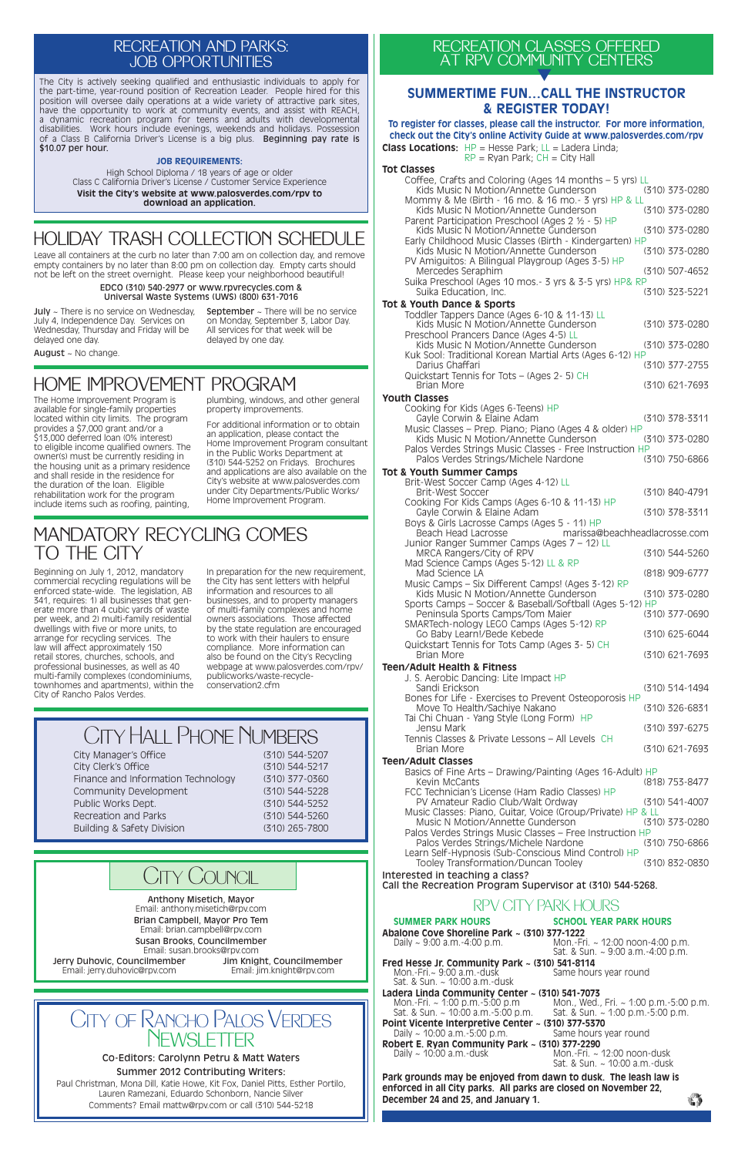### CITY OF RANCHO PALOS VERDES Newsletter

#### Co-Editors: Carolynn Petru & Matt Waters

Summer 2012 Contributing Writers: Paul Christman, Mona Dill, Katie Howe, Kit Fox, Daniel Pitts, Esther Portilo, Lauren Ramezani, Eduardo Schonborn, Nancie Silver Comments? Email mattw@rpv.com or call (310) 544-5218

# City Hall Phone Numbers

**Class Locations:** HP = Hesse Park; LL = Ladera Linda;  $RP = R$ yan Park;  $CH = City$  Hall **Tot Classes** Coffee, Crafts and Coloring (Ages 14 months – 5 yrs) LL<br>Kids Music N Motion/Annette Gunderson (310) 373-0280 Kids Music N Motion/Annette Gunderson Mommy & Me (Birth - 16 mo. & 16 mo.- 3 yrs) HP & LL<br>Kids Music N Motion/Annette Gunderson (310) 373-0280 Kids Music N Motion/Annette Gunderson Parent Participation Preschool (Ages 2 ½ - 5) HP Kids Music N Motion/Annette Gunderson (310) 373-0280 Early Childhood Music Classes (Birth - Kindergarten) HP Kids Music N Motion/Annette Gunderson PV Amiguitos: A Bilingual Playgroup (Ages 3-5) HP Mercedes Seraphim (310) 507-4652 Suika Preschool (Ages 10 mos.- 3 yrs & 3-5 yrs) HP& RP Suika Education, Inc. (310) 323-5221 **Tot & Youth Dance & Sports** Toddler Tappers Dance (Ages 6-10 & 11-13) LL Kids Music N Motion/Annette Gunderson (310) 373-0280 Preschool Prancers Dance (Ages 4-5) LL Kids Music N Motion/Annette Gunderson (310) 373-0280 Kuk Sool: Traditional Korean Martial Arts (Ages 6-12) HP Darius Ghaffari (310) 377-2755 Quickstart Tennis for Tots – (Ages 2- 5) CH Brian More (310) 621-7693 **Youth Classes** Cooking for Kids (Ages 6-Teens) HP Gayle Corwin & Elaine Adam (310) 378-3311 Music Classes – Prep. Piano; Piano (Ages 4 & older) HP Kids Music N Motion/Annette Gunderson (310) 373-0280 Palos Verdes Strings Music Classes - Free Instruction HP<br>Palos Verdes Strings/Michele Nardone (310) 750-6866 Palos Verdes Strings/Michele Nardone **Tot & Youth Summer Camps** Brit-West Soccer Camp (Ages 4-12) LL Brit-West Soccer (310) 840-4791 Cooking For Kids Camps (Ages 6-10 & 11-13) HP Gayle Corwin & Elaine Adam (310) 378-3311 Boys & Girls Lacrosse Camps (Ages 5 - 11) HP<br>Beach Head Lacrosse marissa@ marissa@beachheadlacrosse.com Junior Ranger Summer Camps (Ages 7 – 12) LL MRCA Rangers/City of RPV (310) 544-5260 Mad Science Camps (Ages 5-12) LL & RP Mad Science LA (818) 909-6777 Music Camps – Six Different Camps! (Ages 3-12) RP Kids Music N Motion/Annette Gunderson (310) 373-0280 Sports Camps – Soccer & Baseball/Softball (Ages 5-12) HP Peninsula Sports Camps/Tom Maier (310) 377-0690 SMARTech-nology LEGO Camps (Ages 5-12) RP Go Baby Learn!/Bede Kebede (310) 625-6044 Quickstart Tennis for Tots Camp (Ages 3- 5) CH Brian More (310) 621-7693 **Teen/Adult Health & Fitness** J. S. Aerobic Dancing: Lite Impact HP Sandi Erickson (310) 514-1494 Bones for Life - Exercises to Prevent Osteoporosis HP Move To Health/Sachiye Nakano (310) 326-6831 Tai Chi Chuan - Yang Style (Long Form) HP Jensu Mark (310) 397-6275 Tennis Classes & Private Lessons – All Levels CH (310) 621-7693 **Teen/Adult Classes** Basics of Fine Arts – Drawing/Painting (Ages 16-Adult) HP Kevin McCants (818) 753-8477 FCC Technician's License (Ham Radio Classes) HP PV Amateur Radio Club/Walt Ordway (310) 541-4007 Music Classes: Piano, Guitar, Voice (Group/Private) HP & LL Music N Motion/Annette Gunderson

| City Manager's Office              | (310) 544-5207 |
|------------------------------------|----------------|
| City Clerk's Office                | (310) 544-5217 |
| Finance and Information Technology | (310) 377-0360 |
| Community Development              | (310) 544-5228 |
| Public Works Dept.                 | (310) 544-5252 |
| Recreation and Parks               | (310) 544-5260 |
| Building & Safety Division         | (310) 265-7800 |

### **SUMMERTIME FUN…CALL THE INSTRUCTOR & REGISTER TODAY!**

### **To register for classes, please call the instructor. For more information, check out the City's online Activity Guide at www.palosverdes.com/rpv**

Mon.-Fri. $\sim$  9:00 a.m.-dusk Sat. & Sun. ~ 10:00 a.m.-dusk

Mon.-Fri. ~ 12:00 noon-dusk Sat. & Sun. ~ 10:00 a.m.-dusk

### RECREATION CLASSES OFFERED AT RPV COMMUNITY CENTERS **▼**

Palos Verdes Strings Music Classes – Free Instruction HP Palos Verdes Strings/Michele Nardone (310) 750-6866

Learn Self-Hypnosis (Sub-Conscious Mind Control) HP Tooley Transformation/Duncan Tooley (310) 832-0830

Interested in teaching a class? Call the Recreation Program Supervisor at (310) 544-5268.

### RPV CITY PARK HOURS

#### **SUMMER PARK HOURS SCHOOL YEAR PARK HOURS**

**Abalone Cove Shoreline Park ~ (310) 377-1222**

Daily ~ 9:00 a.m.-4:00 p.m. Mon.-Fri. ~ 12:00 noon-4:00 p.m. Sat. & Sun. ~ 9:00 a.m.-4:00 p.m.

### **Fred Hesse Jr. Community Park ~ (310) 541-8114**

September ~ There will be no service on Monday, September 3, Labor Day. All services for that week will be delayed by one day.

August ~ No change.

### **Ladera Linda Community Center ~ (310) 541-7073**

Mon., Wed., Fri. ~ 1:00 p.m.-5:00 p.m.<br>Sat. & Sun. ~ 1:00 p.m.-5:00 p.m. Sat. & Sun.  $\sim$  10:00 a.m.-5:00 p.m.

### **Point Vicente Interpretive Center ~ (310) 377-5370**

Daily  $\sim$  10:00 a.m.-5:00 p.m. Same hours year round

### **Robert E. Ryan Community Park ~ (310) 377-2290**

**Park grounds may be enjoyed from dawn to dusk. The leash law is enforced in all City parks. All parks are closed on November 22, December 24 and 25, and January 1.**

### HOME IMPROVEMENT PROGRAM

The Home Improvement Program is available for single-family properties located within city limits. The program provides a \$7,000 grant and/or a \$13,000 deferred loan (0% interest) to eligible income qualified owners. The owner(s) must be currently residing in the housing unit as a primary residence and shall reside in the residence for the duration of the loan. Eligible rehabilitation work for the program include items such as roofing, painting,

plumbing, windows, and other general property improvements.

For additional information or to obtain an application, please contact the Home Improvement Program consultant in the Public Works Department at (310) 544-5252 on Fridays. Brochures and applications are also available on the City's website at www.palosverdes.com under City Departments/Public Works/ Home Improvement Program.

### MANDATORY RECYCLING COMES TO THE CITY

Beginning on July 1, 2012, mandatory commercial recycling regulations will be enforced state-wide. The legislation, AB 341, requires: 1) all businesses that generate more than 4 cubic yards of waste per week, and 2) multi-family residential dwellings with five or more units, to arrange for recycling services. The law will affect approximately 150 retail stores, churches, schools, and professional businesses, as well as 40 multi-family complexes (condominiums, townhomes and apartments), within the City of Rancho Palos Verdes.

In preparation for the new requirement, the City has sent letters with helpful information and resources to all businesses, and to property managers of multi-family complexes and home owners associations. Those affected by the state regulation are encouraged to work with their haulers to ensure compliance. More information can also be found on the City's Recycling webpage at www.palosverdes.com/rpv/ publicworks/waste-recycleconservation2.cfm

### HOLIDAY TRASH COLLECTION SCHEDULE

Leave all containers at the curb no later than 7:00 am on collection day, and remove empty containers by no later than 8:00 pm on collection day. Empty carts should not be left on the street overnight. Please keep your neighborhood beautiful!

> EDCO (310) 540-2977 or www.rpvrecycles.com & Universal Waste Systems (UWS) (800) 631-7016

### RECREATION AND PARKS: JOB OPPORTUNITIES

The City is actively seeking qualified and enthusiastic individuals to apply for the part-time, year-round position of Recreation Leader. People hired for this position will oversee daily operations at a wide variety of attractive park sites, have the opportunity to work at community events, and assist with REACH, a dynamic recreation program for teens and adults with developmental disabilities. Work hours include evenings, weekends and holidays. Possession of a Class B California Driver's License is a big plus. Beginning pay rate is \$10.07 per hour.

#### **JOB REQUIREMENTS:**

High School Diploma / 18 years of age or older Class C California Driver's License / Customer Service Experience **Visit the City's website at www.palosverdes.com/rpv to download an application.**

## CITY COUNCIL

Anthony Misetich, Mayor Email: anthony.misetich@rpv.com

Brian Campbell, Mayor Pro Tem Email: brian.campbell@rpv.com

#### Susan Brooks, Councilmember

Email: susan.brooks@rpv.com

Jerry Duhovic, Councilmember Email: jerry.duhovic@rpv.com

Jim Knight, Councilmember Email: jim.knight@rpv.com

July ~ There is no service on Wednesday, July 4, Independence Day. Services on Wednesday, Thursday and Friday will be delayed one day.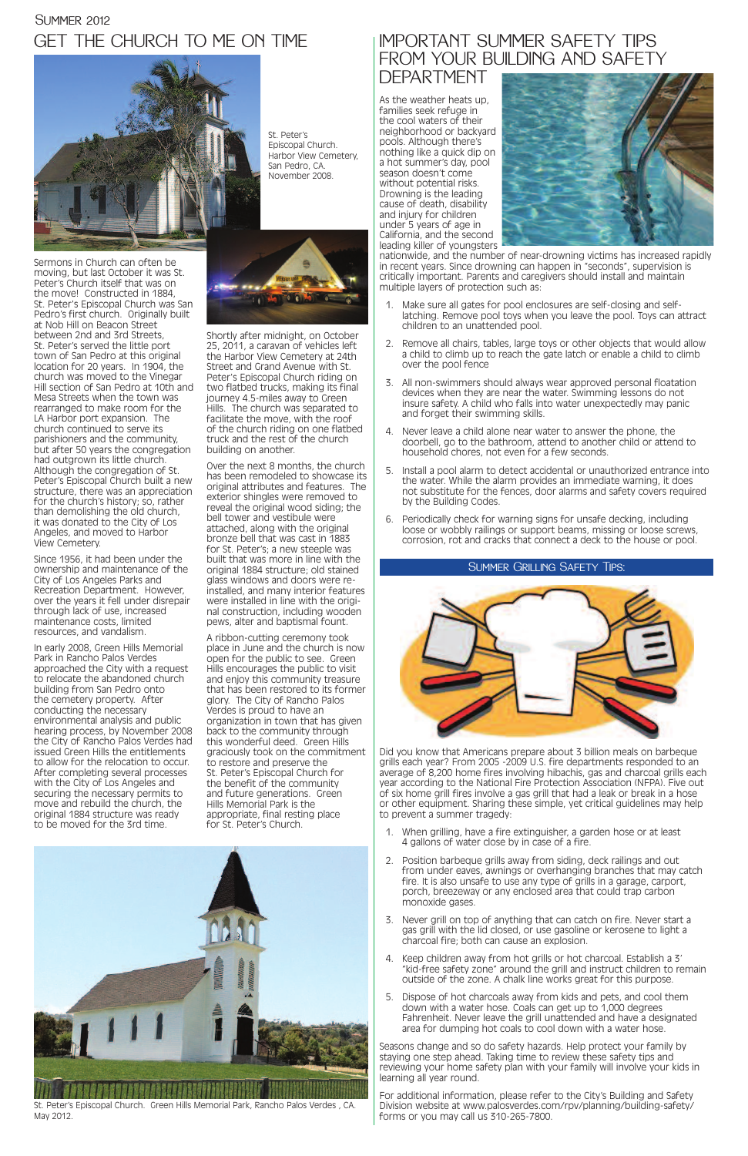Sermons in Church can often be moving, but last October it was St. Peter's Church itself that was on the move! Constructed in 1884, St. Peter's Episcopal Church was San Pedro's first church. Originally built at Nob Hill on Beacon Street between 2nd and 3rd Streets, St. Peter's served the little port town of San Pedro at this original location for 20 years. In 1904, the church was moved to the Vinegar Hill section of San Pedro at 10th and Mesa Streets when the town was rearranged to make room for the LA Harbor port expansion. The church continued to serve its parishioners and the community, but after 50 years the congregation had outgrown its little church. Although the congregation of St. Peter's Episcopal Church built a new structure, there was an appreciation for the church's history; so, rather than demolishing the old church, it was donated to the City of Los Angeles, and moved to Harbor View Cemetery.

Since 1956, it had been under the ownership and maintenance of the City of Los Angeles Parks and Recreation Department. However, over the years it fell under disrepair through lack of use, increased maintenance costs, limited resources, and vandalism.

In early 2008, Green Hills Memorial Park in Rancho Palos Verdes approached the City with a request to relocate the abandoned church building from San Pedro onto the cemetery property. After conducting the necessary environmental analysis and public hearing process, by November 2008 the City of Rancho Palos Verdes had issued Green Hills the entitlements to allow for the relocation to occur. After completing several processes with the City of Los Angeles and securing the necessary permits to move and rebuild the church, the original 1884 structure was ready to be moved for the 3rd time.

### GET THE CHURCH TO ME ON TIME **SUMMER 2012**



### IMPORTANT SUMMER SAFETY TIPS FROM YOUR BUILDING AND SAFETY

Shortly after midnight, on October 25, 2011, a caravan of vehicles left the Harbor View Cemetery at 24th Street and Grand Avenue with St. Peter's Episcopal Church riding on two flatbed trucks, making its final journey 4.5-miles away to Green Hills. The church was separated to facilitate the move, with the roof of the church riding on one flatbed truck and the rest of the church building on another.

Over the next 8 months, the church has been remodeled to showcase its original attributes and features. The exterior shingles were removed to reveal the original wood siding; the bell tower and vestibule were attached, along with the original bronze bell that was cast in 1883 for St. Peter's; a new steeple was built that was more in line with the original 1884 structure; old stained glass windows and doors were reinstalled, and many interior features were installed in line with the original construction, including wooden pews, alter and baptismal fount.

A ribbon-cutting ceremony took place in June and the church is now open for the public to see. Green Hills encourages the public to visit and enjoy this community treasure that has been restored to its former glory. The City of Rancho Palos Verdes is proud to have an organization in town that has given back to the community through this wonderful deed. Green Hills graciously took on the commitment to restore and preserve the St. Peter's Episcopal Church for the benefit of the community and future generations. Green Hills Memorial Park is the appropriate, final resting place for St. Peter's Church.

St. Peter's Episcopal Church. Harbor View Cemetery, San Pedro, CA. November 2008.



St. Peter's Episcopal Church. Green Hills Memorial Park, Rancho Palos Verdes , CA. May 2012.

DEPARTMENT

As the weather heats up, families seek refuge in the cool waters of their neighborhood or backyard pools. Although there's nothing like a quick dip on a hot summer's day, pool season doesn't come without potential risks. Drowning is the leading cause of death, disability and injury for children under 5 years of age in California, and the second leading killer of youngsters



nationwide, and the number of near-drowning victims has increased rapidly in recent years. Since drowning can happen in "seconds", supervision is critically important. Parents and caregivers should install and maintain multiple layers of protection such as:

- 1. Make sure all gates for pool enclosures are self-closing and selflatching. Remove pool toys when you leave the pool. Toys can attract children to an unattended pool.
- 2. Remove all chairs, tables, large toys or other objects that would allow a child to climb up to reach the gate latch or enable a child to climb over the pool fence
- 3. All non-swimmers should always wear approved personal floatation devices when they are near the water. Swimming lessons do not insure safety. A child who falls into water unexpectedly may panic and forget their swimming skills.
- 4. Never leave a child alone near water to answer the phone, the doorbell, go to the bathroom, attend to another child or attend to household chores, not even for a few seconds.
- 5. Install a pool alarm to detect accidental or unauthorized entrance into the water. While the alarm provides an immediate warning, it does not substitute for the fences, door alarms and safety covers required by the Building Codes.
- 6. Periodically check for warning signs for unsafe decking, including loose or wobbly railings or support beams, missing or loose screws, corrosion, rot and cracks that connect a deck to the house or pool.

Did you know that Americans prepare about 3 billion meals on barbeque grills each year? From 2005 -2009 U.S. fire departments responded to an average of 8,200 home fires involving hibachis, gas and charcoal grills each year according to the National Fire Protection Association (NFPA). Five out of six home grill fires involve a gas grill that had a leak or break in a hose or other equipment. Sharing these simple, yet critical guidelines may help to prevent a summer tragedy:

1. When grilling, have a fire extinguisher, a garden hose or at least 4 gallons of water close by in case of a fire.

- 2. Position barbeque grills away from siding, deck railings and out from under eaves, awnings or overhanging branches that may catch fire. It is also unsafe to use any type of grills in a garage, carport, porch, breezeway or any enclosed area that could trap carbon monoxide gases.
- 3. Never grill on top of anything that can catch on fire. Never start a gas grill with the lid closed, or use gasoline or kerosene to light a charcoal fire; both can cause an explosion.
- 4. Keep children away from hot grills or hot charcoal. Establish a 3' "kid-free safety zone" around the grill and instruct children to remain outside of the zone. A chalk line works great for this purpose.
- 5. Dispose of hot charcoals away from kids and pets, and cool them down with a water hose. Coals can get up to 1,000 degrees Fahrenheit. Never leave the grill unattended and have a designated area for dumping hot coals to cool down with a water hose.

Seasons change and so do safety hazards. Help protect your family by staying one step ahead. Taking time to review these safety tips and reviewing your home safety plan with your family will involve your kids in learning all year round.

For additional information, please refer to the City's Building and Safety Division website at www.palosverdes.com/rpv/planning/building-safety/ forms or you may call us 310-265-7800.

#### Summer Grilling Safety Tips: